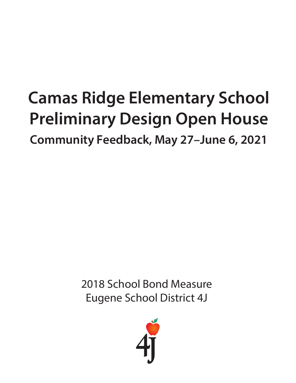# **Camas Ridge Elementary School Preliminary Design Open House**

**Community Feedback, May 27–June 6, 2021**

2018 School Bond Measure Eugene School District 4J

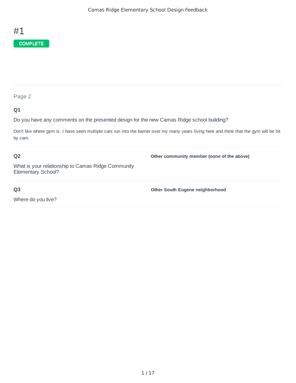

#### **Q1**

Do you have any comments on the presented design for the new Camas Ridge school building?

Don't like where gym is. I have seen multiple cars run into the barrier over my many years living here and think that the gym will be hit by cars.

#### **Q2**

**Other community member (none of the above)**

What is your relationship to Camas Ridge Community Elementary School?

#### **Q3**

Where do you live?

**Other South Eugene neighborhood**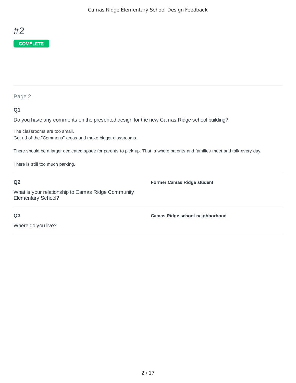

#### **Q1**

Do you have any comments on the presented design for the new Camas Ridge school building?

The classrooms are too small. Get rid of the "Commons" areas and make bigger classrooms.

There should be a larger dedicated space for parents to pick up. That is where parents and families meet and talk every day.

There is still too much parking.

#### **Q2**

What is your relationship to Camas Ridge Community Elementary School?

**Former Camas Ridge student**

**Q3**

**Camas Ridge school neighborhood**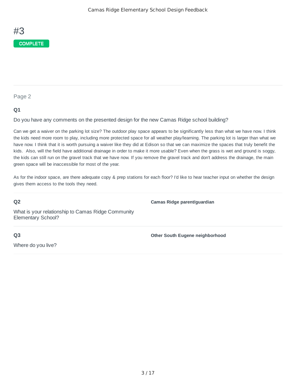

#### **Q1**

Do you have any comments on the presented design for the new Camas Ridge school building?

Can we get a waiver on the parking lot size? The outdoor play space appears to be significantly less than what we have now. I think the kids need more room to play, including more protected space for all weather play/learning. The parking lot is larger than what we have now. I think that it is worth pursuing a waiver like they did at Edison so that we can maximize the spaces that truly benefit the kids. Also, will the field have additional drainage in order to make it more usable? Even when the grass is wet and ground is soggy, the kids can still run on the gravel track that we have now. If you remove the gravel track and don't address the drainage, the main green space will be inaccessible for most of the year.

As for the indoor space, are there adequate copy & prep stations for each floor? I'd like to hear teacher input on whether the design gives them access to the tools they need.

#### **Q2**

**Camas Ridge parent/guardian**

What is your relationship to Camas Ridge Community Elementary School?

**Other South Eugene neighborhood**

**Q3**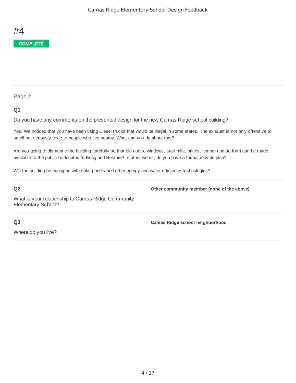#### **Q1**

Do you have any comments on the presented design for the new Camas Ridge school building?

Yes. We noticed that you have been using Diesel trucks that would be illegal in some states. The exhaust is not only offensive to smell but seriously toxic to people who live nearby. What can you do about that?

Are you going to dismantle the building carefully so that old doors, windows, stair rails, bricks, lumber and so forth can be made available to the public or donated to Bring and Restore? In other words, do you have a formal recycle plan?

Will the building be equipped with solar panels and other energy and water efficiency technologies?

#### **Q2**

**Other community member (none of the above)**

**Camas Ridge school neighborhood**

What is your relationship to Camas Ridge Community Elementary School?

**Q3**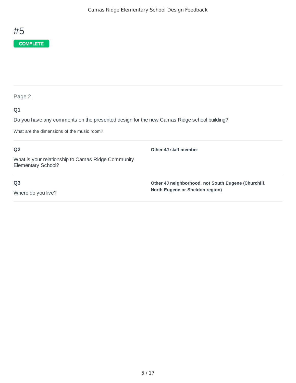

| Page 2                                                                                          |                                                     |
|-------------------------------------------------------------------------------------------------|-----------------------------------------------------|
| Q1<br>Do you have any comments on the presented design for the new Camas Ridge school building? |                                                     |
| What are the dimensions of the music room?                                                      |                                                     |
| Q <sub>2</sub>                                                                                  | Other 4J staff member                               |
| What is your relationship to Camas Ridge Community<br>Elementary School?                        |                                                     |
| Q <sub>3</sub>                                                                                  | Other 4J neighborhood, not South Eugene (Churchill, |
| Where do you live?                                                                              | North Eugene or Sheldon region)                     |
|                                                                                                 |                                                     |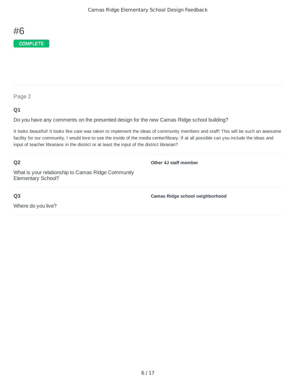

#### **Q1**

Do you have any comments on the presented design for the new Camas Ridge school building?

It looks beautiful! It looks like care was taken to implement the ideas of community members and staff! This will be such an awesome facility for our community. I would love to see the inside of the media center/library. If at all possible can you include the ideas and input of teacher librarians in the district or at least the input of the district librarian?

**Q2**

**Other 4J staff member**

What is your relationship to Camas Ridge Community Elementary School?

**Q3**

Where do you live?

**Camas Ridge school neighborhood**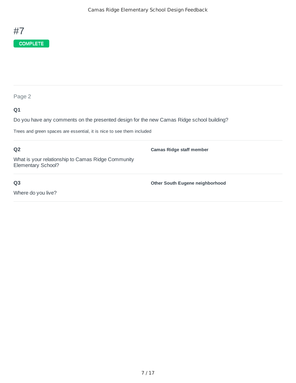

| ×<br>۰,<br>۰. |
|---------------|
|---------------|

## **Q1**

Do you have any comments on the presented design for the new Camas Ridge school building?

Trees and green spaces are essential, it is nice to see them included

| Q <sub>2</sub>                                                           | <b>Camas Ridge staff member</b> |
|--------------------------------------------------------------------------|---------------------------------|
| What is your relationship to Camas Ridge Community<br>Elementary School? |                                 |
| Q <sub>3</sub>                                                           | Other South Eugene neighborhood |
| Where do you live?                                                       |                                 |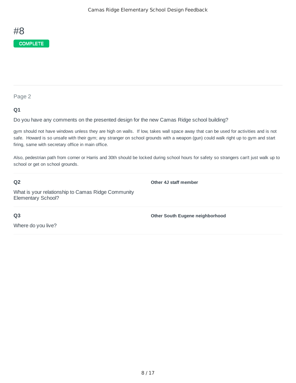

#### **Q1**

Do you have any comments on the presented design for the new Camas Ridge school building?

gym should not have windows unless they are high on walls. If low, takes wall space away that can be used for activities and is not safe. Howard is so unsafe with their gym; any stranger on school grounds with a weapon (gun) could walk right up to gym and start firing, same with secretary office in main office.

Also, pedestrian path from corner or Harris and 30th should be locked during school hours for safety so strangers can't just walk up to school or get on school grounds.

#### **Q2**

**Other 4J staff member**

What is your relationship to Camas Ridge Community Elementary School?

**Q3**

**Other South Eugene neighborhood**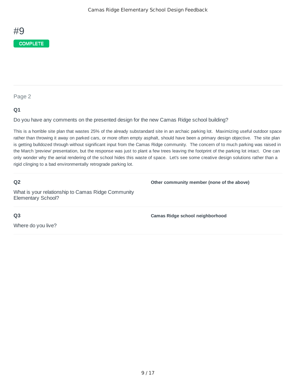

#### **Q1**

Do you have any comments on the presented design for the new Camas Ridge school building?

This is a horrible site plan that wastes 25% of the already substandard site in an archaic parking lot. Maximizing useful outdoor space rather than throwing it away on parked cars, or more often empty asphalt, should have been a primary design objective. The site plan is getting bulldozed through without significant input from the Camas Ridge community. The concern of to much parking was raised in the March 'preview' presentation, but the response was just to plant a few trees leaving the footprint of the parking lot intact. One can only wonder why the aerial rendering of the school hides this waste of space. Let's see some creative design solutions rather than a rigid clinging to a bad environmentally retrograde parking lot.

#### **Q2**

**Other community member (none of the above)**

What is your relationship to Camas Ridge Community Elementary School?

**Q3**

Where do you live?

**Camas Ridge school neighborhood**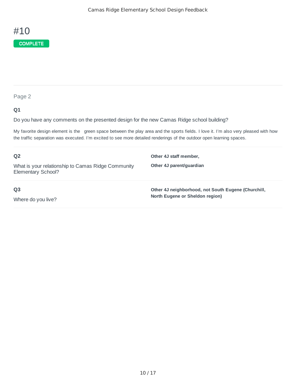

### **Q1**

Do you have any comments on the presented design for the new Camas Ridge school building?

My favorite design element is the green space between the play area and the sports fields. I love it. I'm also very pleased with how the traffic separation was executed. I'm excited to see more detailed renderings of the outdoor open learning spaces.

| Q <sub>2</sub>                                                           | Other 4J staff member,                                                                 |
|--------------------------------------------------------------------------|----------------------------------------------------------------------------------------|
| What is your relationship to Camas Ridge Community<br>Elementary School? | Other 4J parent/quardian                                                               |
| Q <sub>3</sub><br>Where do you live?                                     | Other 4J neighborhood, not South Eugene (Churchill,<br>North Eugene or Sheldon region) |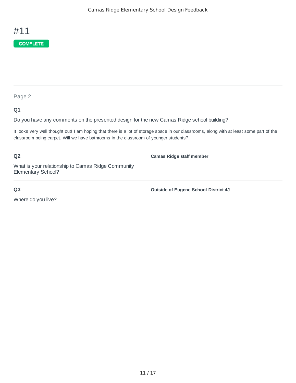

#### **Q1**

Do you have any comments on the presented design for the new Camas Ridge school building?

It looks very well thought out! I am hoping that there is a lot of storage space in our classrooms, along with at least some part of the classroom being carpet. Will we have bathrooms in the classroom of younger students?

**Q2** What is your relationship to Camas Ridge Community Elementary School? **Camas Ridge staff member**

**Outside of Eugene School District 4J**

**Q3**

Where do you live?

11 / 17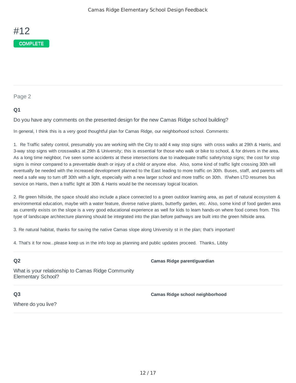#### **Q1**

Do you have any comments on the presented design for the new Camas Ridge school building?

In general, I think this is a very good thoughtful plan for Camas Ridge, our neighborhood school. Comments:

1. Re Traffic safety control, presumably you are working with the City to add 4 way stop signs with cross walks at 29th & Harris, and 3-way stop signs with crosswalks at 29th & University; this is essential for those who walk or bike to school, & for drivers in the area. As a long time neighbor, I've seen some accidents at these intersections due to inadequate traffic safety/stop signs; the cost for stop signs is minor compared to a preventable death or injury of a child or anyone else. Also, some kind of traffic light crossing 30th will eventually be needed with the increased development planned to the East leading to more traffic on 30th. Buses, staff, and parents will need a safe way to turn off 30th with a light, especially with a new larger school and more traffic on 30th. If/when LTD resumes bus service on Harris, then a traffic light at 30th & Harris would be the necessary logical location.

2. Re green hillside, the space should also include a place connected to a green outdoor learning area, as part of natural ecosystem & environmental education, maybe with a water feature, diverse native plants, butterfly garden, etc. Also, some kind of food garden area as currently exists on the slope is a very good educational experience as well for kids to learn hands-on where food comes from. This type of landscape architecture planning should be integrated into the plan before pathways are built into the green hillside area.

3. Re natural habitat, thanks for saving the native Camas slope along University st in the plan; that's important!

4. That's it for now...please keep us in the info loop as planning and public updates proceed. Thanks, Libby

#### **Q2**

**Camas Ridge parent/guardian**

What is your relationship to Camas Ridge Community Elementary School?

#### **Q3**

**Camas Ridge school neighborhood**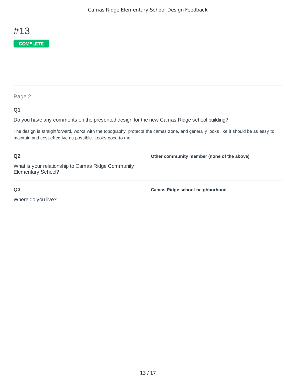

#### **Q1**

Do you have any comments on the presented design for the new Camas Ridge school building?

The design is straightforward, works with the topography, protects the camas zone, and generally looks like it should be as easy to maintain and cost-effective as possible. Looks good to me.

## What is your relationship to Camas Ridge Community Elementary School?

#### **Q3**

**Q2**

Where do you live?

**Camas Ridge school neighborhood**

**Other community member (none of the above)**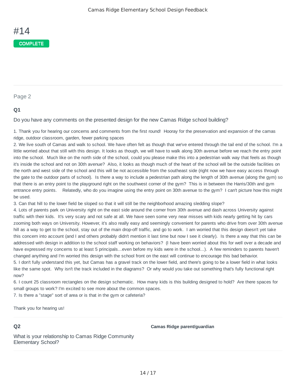#### **Q1**

Do you have any comments on the presented design for the new Camas Ridge school building?

1. Thank you for hearing our concerns and comments from the first round! Hooray for the preservation and expansion of the camas ridge, outdoor classroom, garden, fewer parking spaces

2. We live south of Camas and walk to school. We have often felt as though that we've entered through the tail end of the school. I'm a little worried about that still with this design. It looks as though, we will have to walk along 30th avenue before we reach the entry point into the school. Much like on the north side of the school, could you please make this into a pedestrian walk way that feels as though it's inside the school and not on 30th avenue? Also, it looks as though much of the heart of the school will be the outside facilities on the north and west side of the school and this will be not accessible from the southeast side (right now we have easy access through the gate to the outdoor parts of school). Is there a way to include a pedestrian path along the length of 30th avenue (along the gym) so that there is an entry point to the playground right on the southwest corner of the gym? This is in between the Harris/30th and gym entrance entry points. Relatedly, who do you imagine using the entry point on 30th avenue to the gym? I can't picture how this might be used.

3. Can that hill to the lower field be sloped so that it will still be the neighborhood amazing sledding slope?

4. Lots of parents park on University right on the east side around the corner from 30th avenue and dash across University against traffic with their kids. It's very scary and not safe at all. We have seen some very near misses with kids nearly getting hit by cars zooming both ways on University. However, it's also really easy and seemingly convenient for parents who drive from over 30th avenue hill as a way to get to the school, stay out of the main drop-off traffic, and go to work. I am worried that this design doesn't yet take this concern into account (and I and others probably didn't mention it last time but now I see it clearly). Is there a way that this can be addressed with design in addition to the school staff working on behaviors? (I have been worried about this for well over a decade and have expressed my concerns to at least 5 principals...even before my kids were in the school...). A few reminders to parents haven't changed anything and I'm worried this design with the school front on the east will continue to encourage this bad behavior. 5. I don't fully understand this yet, but Camas has a gravel track on the lower field, and there's going to be a lower field in what looks

like the same spot. Why isn't the track included in the diagrams? Or why would you take out something that's fully functional right now?

6. I count 25 classroom rectangles on the design schematic. How many kids is this building designed to hold? Are there spaces for small groups to work? I'm excited to see more about the common spaces.

7. Is there a "stage" sort of area or is that in the gym or cafeteria?

Thank you for hearing us!

#### **Q2**

**Camas Ridge parent/guardian**

What is your relationship to Camas Ridge Community Elementary School?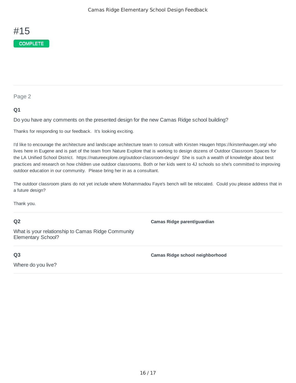#### **Q1**

Do you have any comments on the presented design for the new Camas Ridge school building?

Thanks for responding to our feedback. It's looking exciting.

I'd like to encourage the architecture and landscape architecture team to consult with Kirsten Haugen https://kirstenhaugen.org/ who lives here in Eugene and is part of the team from Nature Explore that is working to design dozens of Outdoor Classroom Spaces for the LA Unified School District. https://natureexplore.org/outdoor-classroom-design/ She is such a wealth of knowledge about best practices and research on how children use outdoor classrooms. Both or her kids went to 4J schools so she's committed to improving outdoor education in our community. Please bring her in as a consultant.

The outdoor classroom plans do not yet include where Mohammadou Faye's bench will be relocated. Could you please address that in a future design?

Thank you.

#### **Q2**

**Camas Ridge parent/guardian**

What is your relationship to Camas Ridge Community Elementary School?

**Q3**

Where do you live?

**Camas Ridge school neighborhood**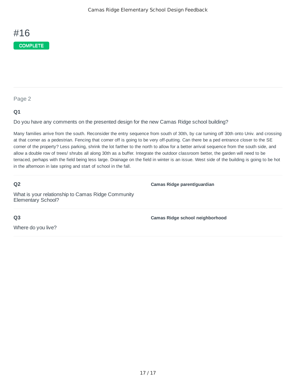

#### **Q1**

Do you have any comments on the presented design for the new Camas Ridge school building?

Many families arrive from the south. Reconsider the entry sequence from south of 30th, by car turning off 30th onto Univ. and crossing at that corner as a pedestrian. Fencing that corner off is going to be very off-putting. Can there be a ped entrance closer to the SE corner of the property? Less parking, shrink the lot farther to the north to allow for a better arrival sequence from the south side, and allow a double row of trees/ shrubs all along 30th as a buffer. Integrate the outdoor classroom better, the garden will need to be terraced, perhaps with the field being less large. Drainage on the field in winter is an issue. West side of the building is going to be hot in the afternoon in late spring and start of school in the fall.

#### **Q2**

**Camas Ridge parent/guardian**

What is your relationship to Camas Ridge Community Elementary School?

**Q3**

Where do you live?

**Camas Ridge school neighborhood**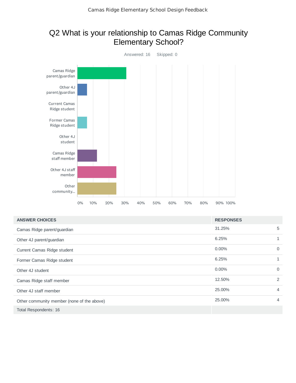## Q2 What is your relationship to Camas Ridge Community Elementary School?



| <b>ANSWER CHOICES</b>                      | <b>RESPONSES</b> |                |
|--------------------------------------------|------------------|----------------|
| Camas Ridge parent/guardian                | 31.25%           | 5              |
| Other 4J parent/guardian                   | 6.25%            |                |
| Current Camas Ridge student                | $0.00\%$         | $\Omega$       |
| Former Camas Ridge student                 | 6.25%            | 1              |
| Other 4J student                           | $0.00\%$         | $\Omega$       |
| Camas Ridge staff member                   | 12.50%           | $\overline{2}$ |
| Other 4J staff member                      | 25.00%           | 4              |
| Other community member (none of the above) | 25.00%           | 4              |
| Total Respondents: 16                      |                  |                |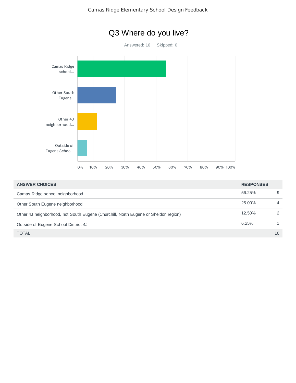



| <b>ANSWER CHOICES</b>                                                               | <b>RESPONSES</b> |                |
|-------------------------------------------------------------------------------------|------------------|----------------|
| Camas Ridge school neighborhood                                                     | 56.25%           | 9              |
| Other South Eugene neighborhood                                                     | 25,00%           | $\overline{4}$ |
| Other 4J neighborhood, not South Eugene (Churchill, North Eugene or Sheldon region) | 12.50%           | $\mathcal{P}$  |
| Outside of Eugene School District 4J                                                | 6.25%            | $\mathbf{1}$   |
| <b>TOTAL</b>                                                                        |                  | 16             |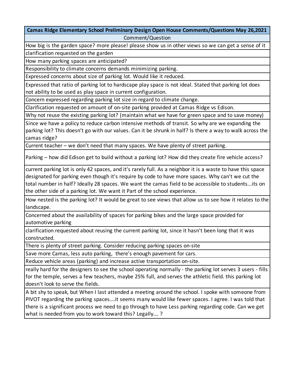#### **Camas Ridge Elementary School Preliminary Design Open House Comments/Questions May 26,2021** Comment/Question

How big is the garden space? more please! please show us in other views so we can get a sense of it clarification requested on the garden

How many parking spaces are anticipated?

Responsibility to climate concerns demands minimizing parking.

Expressed concerns about size of parking lot. Would like it reduced.

Expressed that ratio of parking lot to hardscape play space is not ideal. Stated that parking lot does not ability to be used as play space in current configuration.

Concern expressed regarding parking lot size in regard to climate change.

Clarification requested on amount of on-site parking provided at Camas Ridge vs Edison.

Why not reuse the existing parking lot? (maintain what we have for green space and to save money)

Since we have a policy to reduce carbon intensive methods of transit. So why are we expanding the parking lot? This doesn't go with our values. Can it be shrunk in half? Is there a way to walk across the camas ridge?

Current teacher – we don't need that many spaces. We have plenty of street parking.

Parking – how did Edison get to build without a parking lot? How did they create fire vehicle access?

current parking lot is only 42 spaces, and it's rarely full. As a neighbor it is a waste to have this space designated for parking even though it's require by code to have more spaces. Why can't we cut the total number in half? Ideally 28 spaces. We want the camas field to be accessible to students...its on the other side of a parking lot. We want it Part of the school experience.

How nested is the parking lot? It would be great to see views that allow us to see how it relates to the landscape.

Concerned about the availability of spaces for parking bikes and the large space provided for automotive parking

clarification requested about reusing the current parking lot, since it hasn't been long that it was constructed.

There is plenty of street parking. Consider reducing parking spaces on-site

Save more Camas, less auto parking, there's enough pavement for cars.

Reduce vehicle areas (parking) and increase active transportation on-site.

really hard for the designers to see the school operating normally - the parking lot serves 3 users - fills for the temple, serves a few teachers, maybe 25% full, and serves the athletic field. this parking lot doesn't look to serve the fields.

A bit shy to speak, but When I last attended a meeting around the school. I spoke with someone from PIVOT regarding the parking spaces….it seems many would like fewer spaces. I agree. I was told that there is a significant process we need to go through to have Less parking regarding code. Can we get what is needed from you to work toward this? Legally…. ?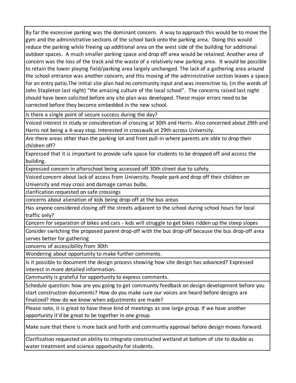By far the excessive parking was the dominant concern. A way to approach this would be to move the gym and the administrative sections of the school back onto the parking area. Doing this would reduce the parking while freeing up additional area on the west side of the building for additional outdoor spaces. A much smaller parking space and drop off area would be retained. Another area of concern was the loss of the track and the waste of a relatively new parking area. It would be possible to retain the lower playing field/parking area largely unchanged. The lack of a gathering area around the school entrance was another concern, and this moving of the administrative section leaves a space for an entry patio.The initial site plan had no community input and was insensitive to, (in the words of John Stapleton last night) "the amazing culture of the local school". The concerns raised last night should have been solicited before any site plan was developed. These major errors need to be corrected before they become embedded in the new school.

Is there a single point of secure success during the day?

Voiced interest in study or consideration of crossing at 30th and Harris. Also concerned about 29th and Harris not being a 4-way stop. Interested in crosswalk at 29th across University.

Are there areas other than the parking lot and front pull-in where parents are able to drop their children off?

Expressed that it is important to provide safe space for students to be dropped off and access the building.

Expressed concern in afterschool being accessed off 30th street due to safety.

Voiced concern about lack of access from University. People park and drop off their children on University and may cross and damage camas bulbs.

clarification requested on safe crossings

concerns about alienation of kids being drop-off at the bus areas

Has anyone considered closing off the streets adjacent to the school during school hours for local traffic only?

Concern for separation of bikes and cars - kids will struggle to get bikes ridden up the steep slopes

Consider switching the proposed parent drop-off with the bus drop-off because the bus drop-off area serves better for gathering

concerns of accessibility from 30th

Wondering about opportunity to make further comments.

Is it possible to document the design process showing how site design has advanced? Expressed interest in more detailed information.

Community is grateful for opportunity to express comments.

Schedule question: how are you going to get community feedback on design development before you start construction documents? How do you make sure our voices are heard before designs are finalized? How do we know when adjustments are made?

Please note, it is great to have these kind of meetings as one large group. If we have another opportunity it'd be great to be together in one group.

Make sure that there is more back and forth and communtiy approval before design moves forward.

Clarification requested on ability to integrate constructed wetland at bottom of site to double as water treatment and science opportunity for students.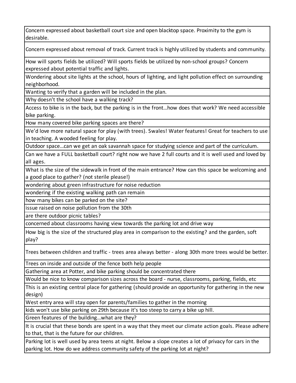Concern expressed about basketball court size and open blacktop space. Proximity to the gym is desirable.

Concern expressed about removal of track. Current track is highly utilized by students and community.

How will sports fields be utilized? Will sports fields be utilized by non-school groups? Concern expressed about potential traffic and lights.

Wondering about site lights at the school, hours of lighting, and light pollution effect on surrounding neighborhood.

Wanting to verify that a garden will be included in the plan.

Why doesn't the school have a walking track?

Access to bike is in the back, but the parking is in the front…how does that work? We need accessible bike parking.

How many covered bike parking spaces are there?

We'd love more natural space for play (with trees). Swales! Water features! Great for teachers to use in teaching. A wooded feeling for play.

Outdoor space…can we get an oak savannah space for studying science and part of the curriculum.

Can we have a FULL basketball court? right now we have 2 full courts and it is well used and loved by all ages.

What is the size of the sidewalk in front of the main entrance? How can this space be welcoming and a good place to gather? (not sterile please!)

wondering about green infrastructure for noise reduction

wondering if the existing walking path can remain

how many bikes can be parked on the site?

issue raised on noise pollution from the 30th

are there outdoor picnic tables?

concerned about classrooms having view towards the parking lot and drive way

How big is the size of the structured play area in comparison to the existing? and the garden, soft play?

Trees between children and traffic - trees area always better - along 30th more trees would be better.

Trees on inside and outside of the fence both help people

Gathering area at Potter, and bike parking should be concentrated there

Would be nice to know comparison sizes across the board - nurse, classrooms, parking, fields, etc

This is an existing central place for gathering (should provide an opportunity for gathering in the new design)

West entry area will stay open for parents/families to gather in the morning

kids won't use bike parking on 29th because it's too steep to carry a bike up hill.

Green features of the building…what are they?

It is crucial that these bonds are spent in a way that they meet our climate action goals. Please adhere to that, that is the future for our children.

Parking lot is well used by area teens at night. Below a slope creates a lot of privacy for cars in the parking lot. How do we address community safety of the parking lot at night?